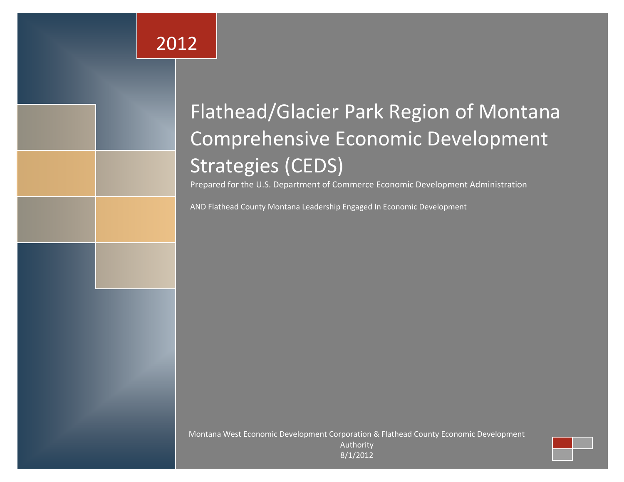# 2012

# Flathead/Glacier Park Region of Montana Comprehensive Economic Development Strategies (CEDS)

Prepared for the U.S. Department of Commerce Economic Development Administration

AND Flathead County Montana Leadership Engaged In Economic Development

Montana West Economic Development Corporation & Flathead County Economic Development

Authority 8/1/2012

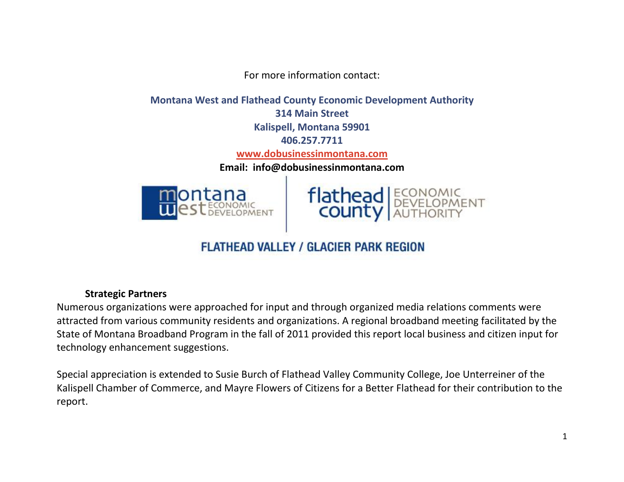For more information contact:

**Montana West and Flathead County Economic Development Authority 314 Main Street Kalispell, Montana 59901 406.257.7711 [www.dobusinessinmontana.com](http://www.dobusinessinmontana.com/) Email: info@dobusinessinmontana.com**





# **FLATHEAD VALLEY / GLACIER PARK REGION**

### **Strategic Partners**

Numerous organizations were approached for input and through organized media relations comments were attracted from various community residents and organizations. A regional broadband meeting facilitated by the State of Montana Broadband Program in the fall of 2011 provided this report local business and citizen input for technology enhancement suggestions.

Special appreciation is extended to Susie Burch of Flathead Valley Community College, Joe Unterreiner of the Kalispell Chamber of Commerce, and Mayre Flowers of Citizens for a Better Flathead for their contribution to the report.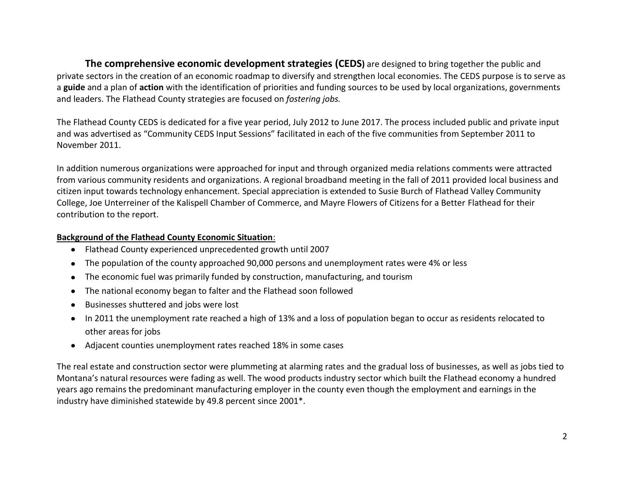**The comprehensive economic development strategies (CEDS)** are designed to bring together the public and private sectors in the creation of an economic roadmap to diversify and strengthen local economies. The CEDS purpose is to serve as a **guide** and a plan of **action** with the identification of priorities and funding sources to be used by local organizations, governments and leaders. The Flathead County strategies are focused on *fostering jobs.* 

The Flathead County CEDS is dedicated for a five year period, July 2012 to June 2017. The process included public and private input and was advertised as "Community CEDS Input Sessions" facilitated in each of the five communities from September 2011 to November 2011.

In addition numerous organizations were approached for input and through organized media relations comments were attracted from various community residents and organizations. A regional broadband meeting in the fall of 2011 provided local business and citizen input towards technology enhancement. Special appreciation is extended to Susie Burch of Flathead Valley Community College, Joe Unterreiner of the Kalispell Chamber of Commerce, and Mayre Flowers of Citizens for a Better Flathead for their contribution to the report.

#### **Background of the Flathead County Economic Situation**:

- Flathead County experienced unprecedented growth until 2007
- The population of the county approached 90,000 persons and unemployment rates were 4% or less  $\bullet$
- The economic fuel was primarily funded by construction, manufacturing, and tourism  $\bullet$
- The national economy began to falter and the Flathead soon followed  $\bullet$
- Businesses shuttered and jobs were lost  $\bullet$
- In 2011 the unemployment rate reached a high of 13% and a loss of population began to occur as residents relocated to other areas for jobs
- Adjacent counties unemployment rates reached 18% in some cases

The real estate and construction sector were plummeting at alarming rates and the gradual loss of businesses, as well as jobs tied to Montana's natural resources were fading as well. The wood products industry sector which built the Flathead economy a hundred years ago remains the predominant manufacturing employer in the county even though the employment and earnings in the industry have diminished statewide by 49.8 percent since 2001\*.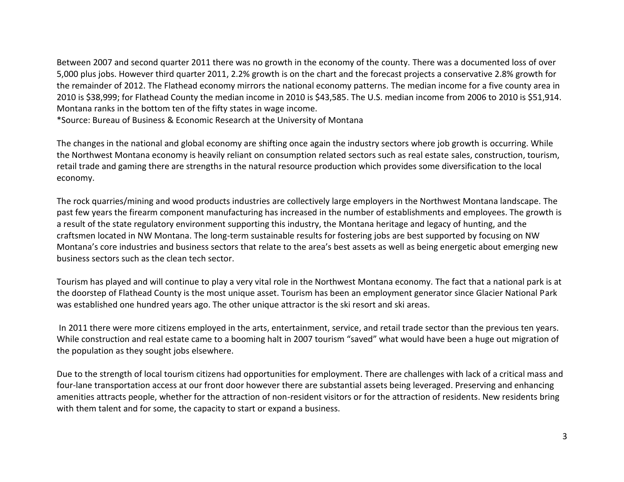Between 2007 and second quarter 2011 there was no growth in the economy of the county. There was a documented loss of over 5,000 plus jobs. However third quarter 2011, 2.2% growth is on the chart and the forecast projects a conservative 2.8% growth for the remainder of 2012. The Flathead economy mirrors the national economy patterns. The median income for a five county area in 2010 is \$38,999; for Flathead County the median income in 2010 is \$43,585. The U.S. median income from 2006 to 2010 is \$51,914. Montana ranks in the bottom ten of the fifty states in wage income.

\*Source: Bureau of Business & Economic Research at the University of Montana

The changes in the national and global economy are shifting once again the industry sectors where job growth is occurring. While the Northwest Montana economy is heavily reliant on consumption related sectors such as real estate sales, construction, tourism, retail trade and gaming there are strengths in the natural resource production which provides some diversification to the local economy.

The rock quarries/mining and wood products industries are collectively large employers in the Northwest Montana landscape. The past few years the firearm component manufacturing has increased in the number of establishments and employees. The growth is a result of the state regulatory environment supporting this industry, the Montana heritage and legacy of hunting, and the craftsmen located in NW Montana. The long-term sustainable results for fostering jobs are best supported by focusing on NW Montana's core industries and business sectors that relate to the area's best assets as well as being energetic about emerging new business sectors such as the clean tech sector.

Tourism has played and will continue to play a very vital role in the Northwest Montana economy. The fact that a national park is at the doorstep of Flathead County is the most unique asset. Tourism has been an employment generator since Glacier National Park was established one hundred years ago. The other unique attractor is the ski resort and ski areas.

In 2011 there were more citizens employed in the arts, entertainment, service, and retail trade sector than the previous ten years. While construction and real estate came to a booming halt in 2007 tourism "saved" what would have been a huge out migration of the population as they sought jobs elsewhere.

Due to the strength of local tourism citizens had opportunities for employment. There are challenges with lack of a critical mass and four-lane transportation access at our front door however there are substantial assets being leveraged. Preserving and enhancing amenities attracts people, whether for the attraction of non-resident visitors or for the attraction of residents. New residents bring with them talent and for some, the capacity to start or expand a business.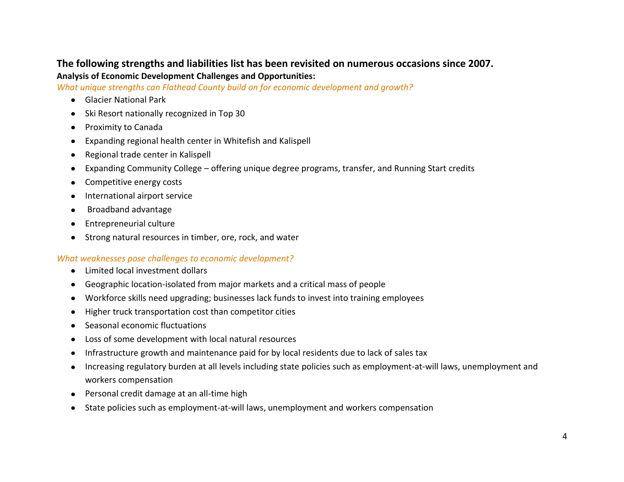# **The following strengths and liabilities list has been revisited on numerous occasions since 2007. Analysis of Economic Development Challenges and Opportunities:**

*What unique strengths can Flathead County build on for economic development and growth?* 

- Glacier National Park
- Ski Resort nationally recognized in Top 30
- Proximity to Canada
- Expanding regional health center in Whitefish and Kalispell  $\bullet$
- Regional trade center in Kalispell  $\bullet$
- Expanding Community College offering unique degree programs, transfer, and Running Start credits  $\bullet$
- Competitive energy costs  $\bullet$
- International airport service  $\bullet$
- Broadband advantage  $\bullet$
- Entrepreneurial culture
- Strong natural resources in timber, ore, rock, and water

#### *What weaknesses pose challenges to economic development?*

- Limited local investment dollars  $\bullet$
- Geographic location-isolated from major markets and a critical mass of people  $\bullet$
- Workforce skills need upgrading; businesses lack funds to invest into training employees  $\bullet$
- Higher truck transportation cost than competitor cities  $\bullet$
- Seasonal economic fluctuations  $\bullet$
- Loss of some development with local natural resources  $\bullet$
- Infrastructure growth and maintenance paid for by local residents due to lack of sales tax  $\bullet$
- Increasing regulatory burden at all levels including state policies such as employment-at-will laws, unemployment and  $\bullet$ workers compensation
- Personal credit damage at an all-time high  $\bullet$
- State policies such as employment-at-will laws, unemployment and workers compensation  $\bullet$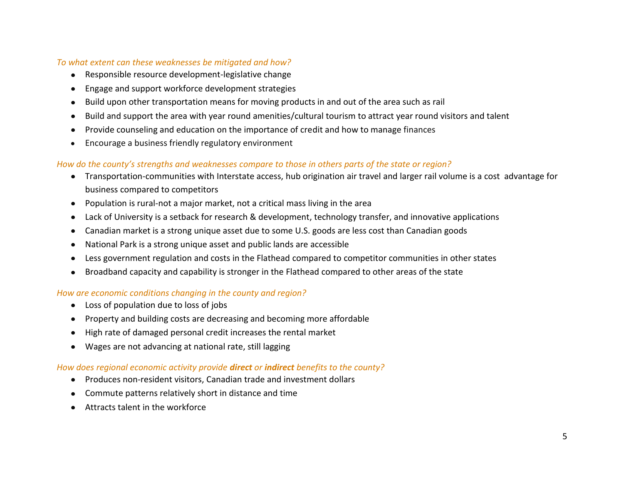#### *To what extent can these weaknesses be mitigated and how?*

- Responsible resource development-legislative change
- Engage and support workforce development strategies  $\bullet$
- Build upon other transportation means for moving products in and out of the area such as rail
- Build and support the area with year round amenities/cultural tourism to attract year round visitors and talent  $\bullet$
- Provide counseling and education on the importance of credit and how to manage finances  $\bullet$
- Encourage a business friendly regulatory environment  $\bullet$

#### *How do the county's strengths and weaknesses compare to those in others parts of the state or region?*

- Transportation-communities with Interstate access, hub origination air travel and larger rail volume is a cost advantage for business compared to competitors
- Population is rural-not a major market, not a critical mass living in the area
- Lack of University is a setback for research & development, technology transfer, and innovative applications  $\bullet$
- Canadian market is a strong unique asset due to some U.S. goods are less cost than Canadian goods  $\bullet$
- National Park is a strong unique asset and public lands are accessible  $\bullet$
- Less government regulation and costs in the Flathead compared to competitor communities in other states  $\bullet$
- Broadband capacity and capability is stronger in the Flathead compared to other areas of the state  $\bullet$

#### *How are economic conditions changing in the county and region?*

- Loss of population due to loss of jobs
- Property and building costs are decreasing and becoming more affordable  $\bullet$
- High rate of damaged personal credit increases the rental market  $\bullet$
- Wages are not advancing at national rate, still lagging  $\bullet$

#### *How does regional economic activity provide direct or indirect benefits to the county?*

- Produces non-resident visitors, Canadian trade and investment dollars
- Commute patterns relatively short in distance and time  $\bullet$
- Attracts talent in the workforce $\bullet$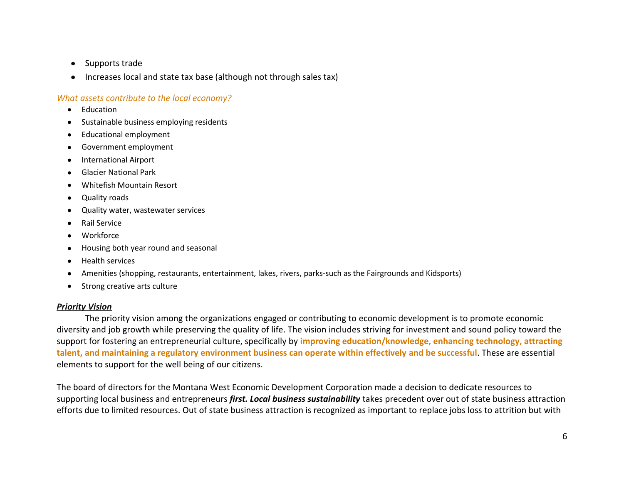- Supports trade  $\bullet$
- Increases local and state tax base (although not through sales tax)

#### *What assets contribute to the local economy?*

- Education
- Sustainable business employing residents
- Educational employment  $\bullet$
- Government employment
- International Airport
- Glacier National Park
- Whitefish Mountain Resort
- Quality roads
- Quality water, wastewater services  $\bullet$
- Rail Service
- Workforce
- Housing both year round and seasonal
- Health services  $\bullet$
- Amenities (shopping, restaurants, entertainment, lakes, rivers, parks-such as the Fairgrounds and Kidsports)
- Strong creative arts culture

#### *Priority Vision*

The priority vision among the organizations engaged or contributing to economic development is to promote economic diversity and job growth while preserving the quality of life. The vision includes striving for investment and sound policy toward the support for fostering an entrepreneurial culture, specifically by **improving education/knowledge, enhancing technology, attracting talent, and maintaining a regulatory environment business can operate within effectively and be successful**. These are essential elements to support for the well being of our citizens.

The board of directors for the Montana West Economic Development Corporation made a decision to dedicate resources to supporting local business and entrepreneurs *first. Local business sustainability* takes precedent over out of state business attraction efforts due to limited resources. Out of state business attraction is recognized as important to replace jobs loss to attrition but with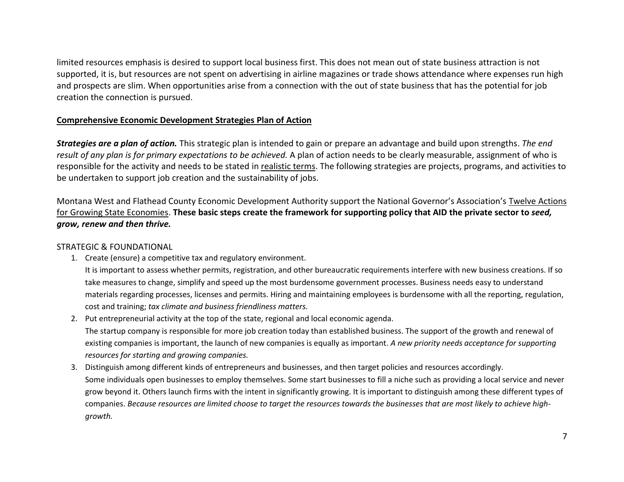limited resources emphasis is desired to support local business first. This does not mean out of state business attraction is not supported, it is, but resources are not spent on advertising in airline magazines or trade shows attendance where expenses run high and prospects are slim. When opportunities arise from a connection with the out of state business that has the potential for job creation the connection is pursued.

#### **Comprehensive Economic Development Strategies Plan of Action**

*Strategies are a plan of action.* This strategic plan is intended to gain or prepare an advantage and build upon strengths. *The end result of any plan is for primary expectations to be achieved.* A plan of action needs to be clearly measurable, assignment of who is responsible for the activity and needs to be stated in realistic terms. The following strategies are projects, programs, and activities to be undertaken to support job creation and the sustainability of jobs.

Montana West and Flathead County Economic Development Authority support the National Governor's Association's Twelve Actions for Growing State Economies. **These basic steps create the framework for supporting policy that AID the private sector to** *seed, grow, renew and then thrive.*

#### STRATEGIC & FOUNDATIONAL

1. Create (ensure) a competitive tax and regulatory environment.

It is important to assess whether permits, registration, and other bureaucratic requirements interfere with new business creations. If so take measures to change, simplify and speed up the most burdensome government processes. Business needs easy to understand materials regarding processes, licenses and permits. Hiring and maintaining employees is burdensome with all the reporting, regulation, cost and training; *tax climate and business friendliness matters.*

- 2. Put entrepreneurial activity at the top of the state, regional and local economic agenda. The startup company is responsible for more job creation today than established business. The support of the growth and renewal of existing companies is important, the launch of new companies is equally as important. *A new priority needs acceptance for supporting resources for starting and growing companies.*
- 3. Distinguish among different kinds of entrepreneurs and businesses, and then target policies and resources accordingly. Some individuals open businesses to employ themselves. Some start businesses to fill a niche such as providing a local service and never grow beyond it. Others launch firms with the intent in significantly growing. It is important to distinguish among these different types of companies. *Because resources are limited choose to target the resources towards the businesses that are most likely to achieve highgrowth.*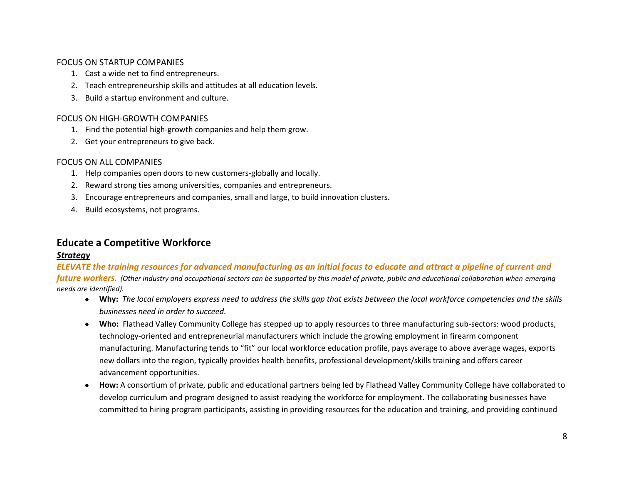#### FOCUS ON STARTUP COMPANIES

- 1. Cast a wide net to find entrepreneurs.
- 2. Teach entrepreneurship skills and attitudes at all education levels.
- 3. Build a startup environment and culture.

#### FOCUS ON HIGH-GROWTH COMPANIES

- 1. Find the potential high-growth companies and help them grow.
- 2. Get your entrepreneurs to give back.

#### FOCUS ON ALL COMPANIES

- 1. Help companies open doors to new customers-globally and locally.
- 2. Reward strong ties among universities, companies and entrepreneurs.
- 3. Encourage entrepreneurs and companies, small and large, to build innovation clusters.
- 4. Build ecosystems, not programs.

# **Educate a Competitive Workforce**

#### *Strategy*

*ELEVATE the training resources for advanced manufacturing as an initial focus to educate and attract a pipeline of current and future workers.* (Other industry and occupational sectors can be supported by this model of private, public and educational collaboration when emerging  $\overline{a}$ *needs are identified).*

- **Why:** *The local employers express need to address the skills gap that exists between the local workforce competencies and the skills businesses need in order to succeed.*
- **Who:** Flathead Valley Community College has stepped up to apply resources to three manufacturing sub-sectors: wood products, technology-oriented and entrepreneurial manufacturers which include the growing employment in firearm component manufacturing. Manufacturing tends to "fit" our local workforce education profile, pays average to above average wages, exports new dollars into the region, typically provides health benefits, professional development/skills training and offers career advancement opportunities.
- **How:** A consortium of private, public and educational partners being led by Flathead Valley Community College have collaborated to develop curriculum and program designed to assist readying the workforce for employment. The collaborating businesses have committed to hiring program participants, assisting in providing resources for the education and training, and providing continued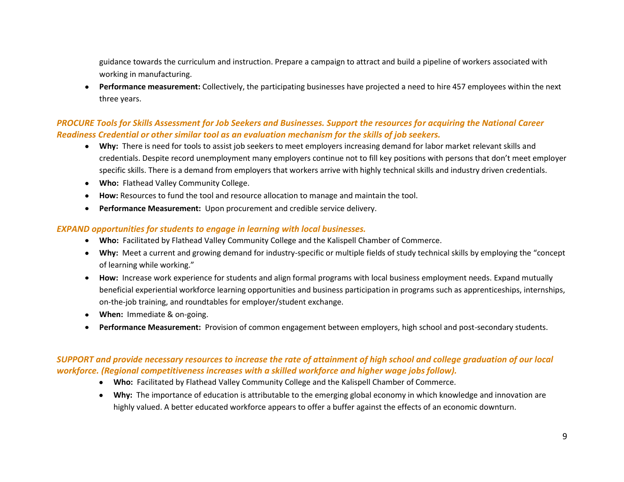guidance towards the curriculum and instruction. Prepare a campaign to attract and build a pipeline of workers associated with working in manufacturing.

**Performance measurement:** Collectively, the participating businesses have projected a need to hire 457 employees within the next three years.

#### *PROCURE Tools for Skills Assessment for Job Seekers and Businesses. Support the resources for acquiring the National Career Readiness Credential or other similar tool as an evaluation mechanism for the skills of job seekers.*

- **Why:** There is need for tools to assist job seekers to meet employers increasing demand for labor market relevant skills and credentials. Despite record unemployment many employers continue not to fill key positions with persons that don't meet employer specific skills. There is a demand from employers that workers arrive with highly technical skills and industry driven credentials.
- **Who:** Flathead Valley Community College.
- **How:** Resources to fund the tool and resource allocation to manage and maintain the tool.
- **Performance Measurement:** Upon procurement and credible service delivery.  $\bullet$

#### *EXPAND opportunities for students to engage in learning with local businesses.*

- **Who:** Facilitated by Flathead Valley Community College and the Kalispell Chamber of Commerce.
- **Why:** Meet a current and growing demand for industry-specific or multiple fields of study technical skills by employing the "concept of learning while working."
- **How:** Increase work experience for students and align formal programs with local business employment needs. Expand mutually beneficial experiential workforce learning opportunities and business participation in programs such as apprenticeships, internships, on-the-job training, and roundtables for employer/student exchange.
- **When:** Immediate & on-going.
- **Performance Measurement:** Provision of common engagement between employers, high school and post-secondary students.

#### *SUPPORT and provide necessary resources to increase the rate of attainment of high school and college graduation of our local workforce. (Regional competitiveness increases with a skilled workforce and higher wage jobs follow).*

- **Who:** Facilitated by Flathead Valley Community College and the Kalispell Chamber of Commerce.
- **Why:** The importance of education is attributable to the emerging global economy in which knowledge and innovation are highly valued. A better educated workforce appears to offer a buffer against the effects of an economic downturn.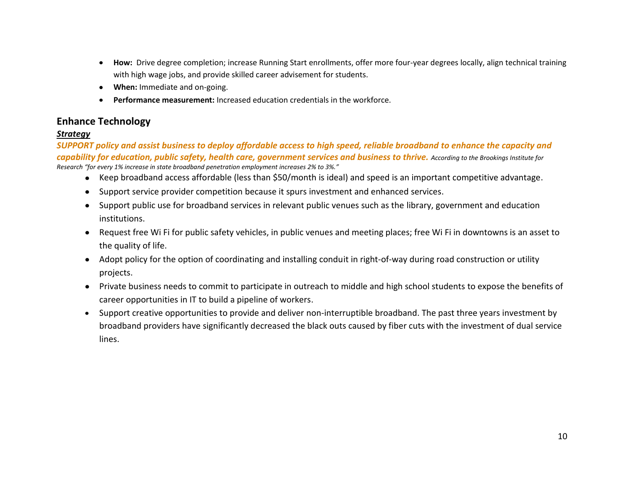- How: Drive degree completion; increase Running Start enrollments, offer more four-year degrees locally, align technical training  $\bullet$ with high wage jobs, and provide skilled career advisement for students.
- **When:** Immediate and on-going.
- **Performance measurement:** Increased education credentials in the workforce.  $\bullet$

# **Enhance Technology**

#### *Strategy*

*SUPPORT policy and assist business to deploy affordable access to high speed, reliable broadband to enhance the capacity and capability for education, public safety, health care, government services and business to thrive. According to the Brookings Institute for Research "for every 1% increase in state broadband penetration employment increases 2% to 3%."*

- Keep broadband access affordable (less than \$50/month is ideal) and speed is an important competitive advantage.
- Support service provider competition because it spurs investment and enhanced services.
- Support public use for broadband services in relevant public venues such as the library, government and education institutions.
- Request free Wi Fi for public safety vehicles, in public venues and meeting places; free Wi Fi in downtowns is an asset to the quality of life.
- Adopt policy for the option of coordinating and installing conduit in right-of-way during road construction or utility projects.
- Private business needs to commit to participate in outreach to middle and high school students to expose the benefits of career opportunities in IT to build a pipeline of workers.
- Support creative opportunities to provide and deliver non-interruptible broadband. The past three years investment by broadband providers have significantly decreased the black outs caused by fiber cuts with the investment of dual service lines.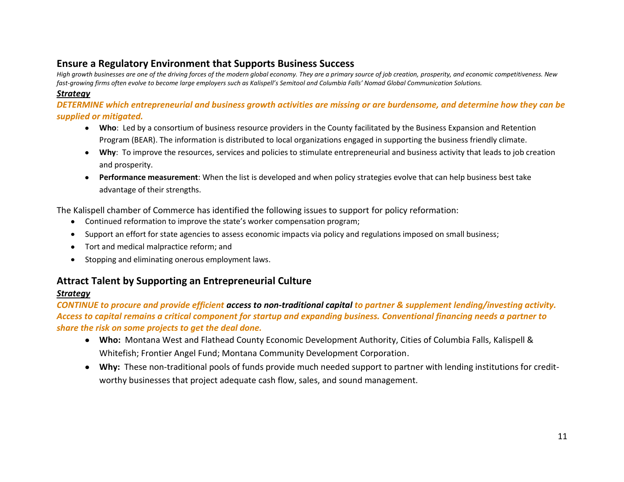# **Ensure a Regulatory Environment that Supports Business Success**

*High growth businesses are one of the driving forces of the modern global economy. They are a primary source of job creation, prosperity, and economic competitiveness. New fast-growing firms often evolve to become large employers such as Kalispell's Semitool and Columbia Falls' Nomad Global Communication Solutions.* 

#### *Strategy*

*DETERMINE which entrepreneurial and business growth activities are missing or are burdensome, and determine how they can be supplied or mitigated.*

- **Who**: Led by a consortium of business resource providers in the County facilitated by the Business Expansion and Retention Program (BEAR). The information is distributed to local organizations engaged in supporting the business friendly climate.
- **Why**: To improve the resources, services and policies to stimulate entrepreneurial and business activity that leads to job creation and prosperity.
- **Performance measurement**: When the list is developed and when policy strategies evolve that can help business best take advantage of their strengths.

The Kalispell chamber of Commerce has identified the following issues to support for policy reformation:

- Continued reformation to improve the state's worker compensation program;
- Support an effort for state agencies to assess economic impacts via policy and regulations imposed on small business;  $\bullet$
- Tort and medical malpractice reform; and  $\bullet$
- Stopping and eliminating onerous employment laws.  $\bullet$

# **Attract Talent by Supporting an Entrepreneurial Culture**

### *Strategy*

*CONTINUE to procure and provide efficient access to non-traditional capital to partner & supplement lending/investing activity. Access to capital remains a critical component for startup and expanding business. Conventional financing needs a partner to share the risk on some projects to get the deal done.*

- **Who:** Montana West and Flathead County Economic Development Authority, Cities of Columbia Falls, Kalispell & Whitefish; Frontier Angel Fund; Montana Community Development Corporation.
- **Why:** These non-traditional pools of funds provide much needed support to partner with lending institutions for creditworthy businesses that project adequate cash flow, sales, and sound management.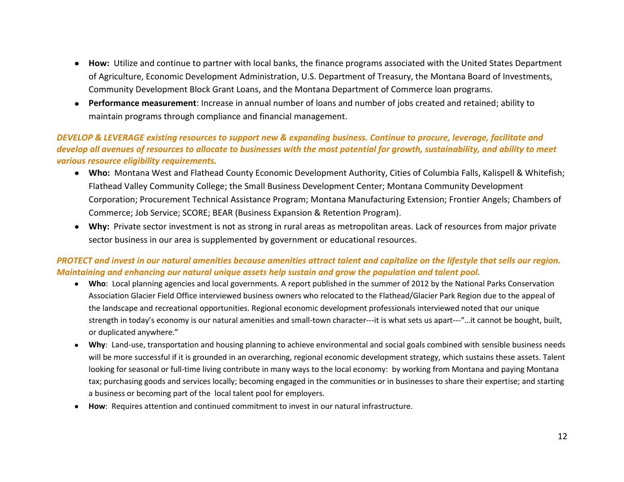- **How:** Utilize and continue to partner with local banks, the finance programs associated with the United States Department of Agriculture, Economic Development Administration, U.S. Department of Treasury, the Montana Board of Investments, Community Development Block Grant Loans, and the Montana Department of Commerce loan programs.
- **Performance measurement**: Increase in annual number of loans and number of jobs created and retained; ability to maintain programs through compliance and financial management.

#### *DEVELOP & LEVERAGE existing resources to support new & expanding business. Continue to procure, leverage, facilitate and develop all avenues of resources to allocate to businesses with the most potential for growth, sustainability, and ability to meet various resource eligibility requirements.*

- **Who:** Montana West and Flathead County Economic Development Authority, Cities of Columbia Falls, Kalispell & Whitefish; Flathead Valley Community College; the Small Business Development Center; Montana Community Development Corporation; Procurement Technical Assistance Program; Montana Manufacturing Extension; Frontier Angels; Chambers of Commerce; Job Service; SCORE; BEAR (Business Expansion & Retention Program).
- **Why:** Private sector investment is not as strong in rural areas as metropolitan areas. Lack of resources from major private sector business in our area is supplemented by government or educational resources.

#### *PROTECT and invest in our natural amenities because amenities attract talent and capitalize on the lifestyle that sells our region. Maintaining and enhancing our natural unique assets help sustain and grow the population and talent pool.*

- **Who**: Local planning agencies and local governments. A report published in the summer of 2012 by the National Parks Conservation Association Glacier Field Office interviewed business owners who relocated to the Flathead/Glacier Park Region due to the appeal of the landscape and recreational opportunities. Regional economic development professionals interviewed noted that our unique strength in today's economy is our natural amenities and small-town character---it is what sets us apart---"…it cannot be bought, built, or duplicated anywhere."
- $\bullet$ **Why**: Land-use, transportation and housing planning to achieve environmental and social goals combined with sensible business needs will be more successful if it is grounded in an overarching, regional economic development strategy, which sustains these assets. Talent looking for seasonal or full-time living contribute in many ways to the local economy: by working from Montana and paying Montana tax; purchasing goods and services locally; becoming engaged in the communities or in businesses to share their expertise; and starting a business or becoming part of the local talent pool for employers.
- **How**: Requires attention and continued commitment to invest in our natural infrastructure.  $\bullet$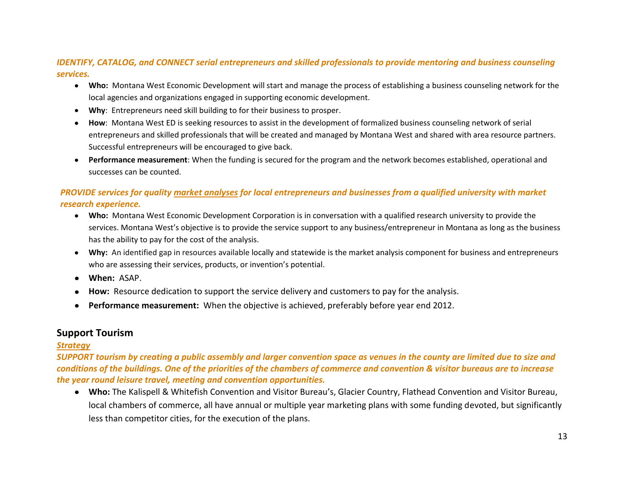#### *IDENTIFY, CATALOG, and CONNECT serial entrepreneurs and skilled professionals to provide mentoring and business counseling services.*

- **Who:** Montana West Economic Development will start and manage the process of establishing a business counseling network for the local agencies and organizations engaged in supporting economic development.
- Why: Entrepreneurs need skill building to for their business to prosper.  $\bullet$
- **How**: Montana West ED is seeking resources to assist in the development of formalized business counseling network of serial  $\bullet$ entrepreneurs and skilled professionals that will be created and managed by Montana West and shared with area resource partners. Successful entrepreneurs will be encouraged to give back.
- **Performance measurement**: When the funding is secured for the program and the network becomes established, operational and  $\bullet$ successes can be counted.

#### *PROVIDE services for quality market analyses for local entrepreneurs and businesses from a qualified university with market research experience.*

- **Who:** Montana West Economic Development Corporation is in conversation with a qualified research university to provide the services. Montana West's objective is to provide the service support to any business/entrepreneur in Montana as long as the business has the ability to pay for the cost of the analysis.
- **Why:** An identified gap in resources available locally and statewide is the market analysis component for business and entrepreneurs who are assessing their services, products, or invention's potential.
- **When:** ASAP.
- **How:** Resource dedication to support the service delivery and customers to pay for the analysis.
- **Performance measurement:** When the objective is achieved, preferably before year end 2012.

# **Support Tourism**

#### *Strategy*

*SUPPORT tourism by creating a public assembly and larger convention space as venues in the county are limited due to size and conditions of the buildings. One of the priorities of the chambers of commerce and convention & visitor bureaus are to increase the year round leisure travel, meeting and convention opportunities.* 

**Who:** The Kalispell & Whitefish Convention and Visitor Bureau's, Glacier Country, Flathead Convention and Visitor Bureau, local chambers of commerce, all have annual or multiple year marketing plans with some funding devoted, but significantly less than competitor cities, for the execution of the plans.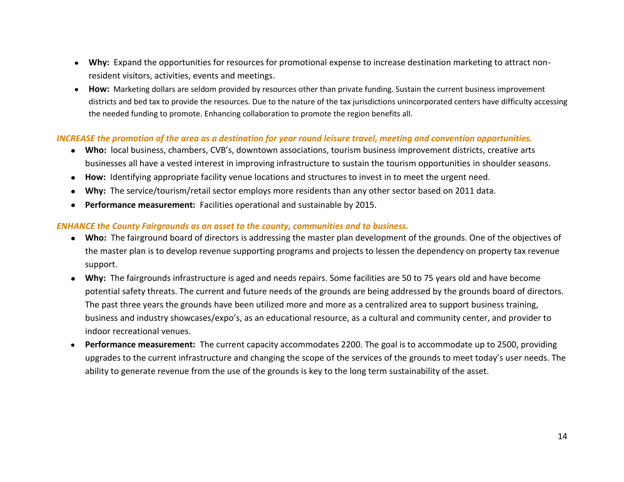- **Why:** Expand the opportunities for resources for promotional expense to increase destination marketing to attract nonresident visitors, activities, events and meetings.
- **How:**Marketing dollars are seldom provided by resources other than private funding. Sustain the current business improvement districts and bed tax to provide the resources. Due to the nature of the tax jurisdictions unincorporated centers have difficulty accessing the needed funding to promote. Enhancing collaboration to promote the region benefits all.

#### *INCREASE the promotion of the area as a destination for year round leisure travel, meeting and convention opportunities.*

- **Who:** local business, chambers, CVB's, downtown associations, tourism business improvement districts, creative arts businesses all have a vested interest in improving infrastructure to sustain the tourism opportunities in shoulder seasons.
- **How:** Identifying appropriate facility venue locations and structures to invest in to meet the urgent need.
- **Why:** The service/tourism/retail sector employs more residents than any other sector based on 2011 data.
- **Performance measurement:** Facilities operational and sustainable by 2015.

#### *ENHANCE the County Fairgrounds as an asset to the county, communities and to business.*

- **Who:** The fairground board of directors is addressing the master plan development of the grounds. One of the objectives of the master plan is to develop revenue supporting programs and projects to lessen the dependency on property tax revenue support.
- **Why:** The fairgrounds infrastructure is aged and needs repairs. Some facilities are 50 to 75 years old and have become potential safety threats. The current and future needs of the grounds are being addressed by the grounds board of directors. The past three years the grounds have been utilized more and more as a centralized area to support business training, business and industry showcases/expo's, as an educational resource, as a cultural and community center, and provider to indoor recreational venues.
- **Performance measurement:** The current capacity accommodates 2200. The goal is to accommodate up to 2500, providing upgrades to the current infrastructure and changing the scope of the services of the grounds to meet today's user needs. The ability to generate revenue from the use of the grounds is key to the long term sustainability of the asset.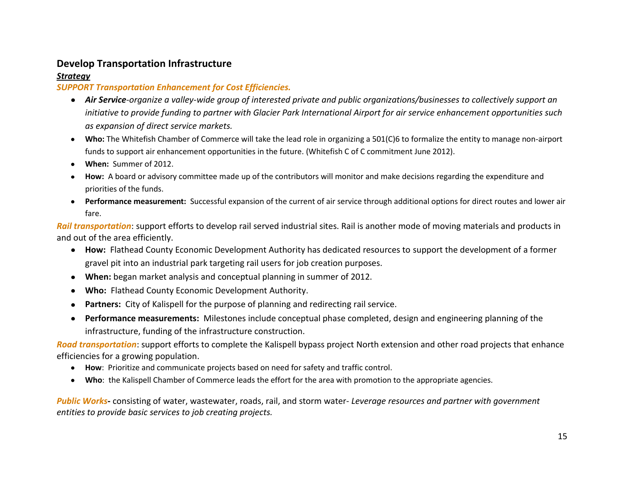# **Develop Transportation Infrastructure**

#### *Strategy*

#### *SUPPORT Transportation Enhancement for Cost Efficiencies.*

- *Air Service-organize a valley-wide group of interested private and public organizations/businesses to collectively support an initiative to provide funding to partner with Glacier Park International Airport for air service enhancement opportunities such as expansion of direct service markets.*
- **Who:** The Whitefish Chamber of Commerce will take the lead role in organizing a 501(C)6 to formalize the entity to manage non-airport funds to support air enhancement opportunities in the future. (Whitefish C of C commitment June 2012).
- **When:** Summer of 2012.  $\bullet$
- **How:** A board or advisory committee made up of the contributors will monitor and make decisions regarding the expenditure and priorities of the funds.
- **Performance measurement:** Successful expansion of the current of air service through additional options for direct routes and lower air  $\bullet$ fare.

*Rail transportation*: support efforts to develop rail served industrial sites. Rail is another mode of moving materials and products in and out of the area efficiently.

- **How:** Flathead County Economic Development Authority has dedicated resources to support the development of a former gravel pit into an industrial park targeting rail users for job creation purposes.
- **When:** began market analysis and conceptual planning in summer of 2012.  $\bullet$
- **Who:** Flathead County Economic Development Authority.  $\bullet$
- **Partners:** City of Kalispell for the purpose of planning and redirecting rail service.  $\bullet$
- **Performance measurements:** Milestones include conceptual phase completed, design and engineering planning of the infrastructure, funding of the infrastructure construction.

*Road transportation*: support efforts to complete the Kalispell bypass project North extension and other road projects that enhance efficiencies for a growing population.

- **How**: Prioritize and communicate projects based on need for safety and traffic control.
- **Who**: the Kalispell Chamber of Commerce leads the effort for the area with promotion to the appropriate agencies.  $\bullet$

*Public Works***-** consisting of water, wastewater, roads, rail, and storm water- *Leverage resources and partner with government entities to provide basic services to job creating projects.*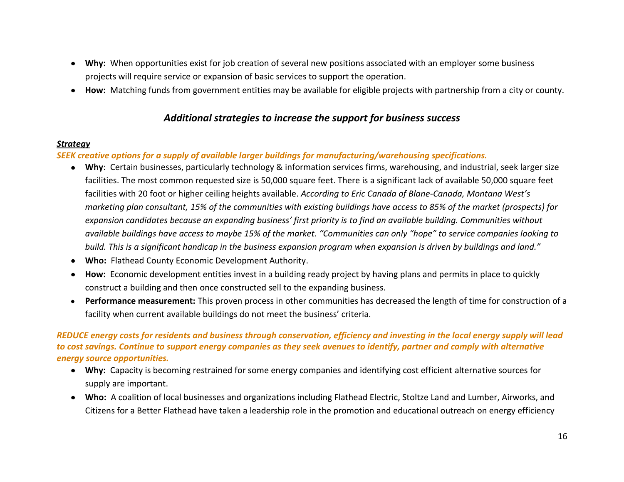- **Why:** When opportunities exist for job creation of several new positions associated with an employer some business projects will require service or expansion of basic services to support the operation.
- **How:** Matching funds from government entities may be available for eligible projects with partnership from a city or county.

#### *Additional strategies to increase the support for business success*

#### *Strategy*

*SEEK creative options for a supply of available larger buildings for manufacturing/warehousing specifications.* 

- **Why**: Certain businesses, particularly technology & information services firms, warehousing, and industrial, seek larger size facilities. The most common requested size is 50,000 square feet. There is a significant lack of available 50,000 square feet facilities with 20 foot or higher ceiling heights available. *According to Eric Canada of Blane-Canada, Montana West's marketing plan consultant, 15% of the communities with existing buildings have access to 85% of the market (prospects) for expansion candidates because an expanding business' first priority is to find an available building. Communities without available buildings have access to maybe 15% of the market. "Communities can only "hope" to service companies looking to build. This is a significant handicap in the business expansion program when expansion is driven by buildings and land."*
- **Who:** Flathead County Economic Development Authority.
- **How:** Economic development entities invest in a building ready project by having plans and permits in place to quickly construct a building and then once constructed sell to the expanding business.
- **Performance measurement:** This proven process in other communities has decreased the length of time for construction of a facility when current available buildings do not meet the business' criteria.

#### *REDUCE energy costs for residents and business through conservation, efficiency and investing in the local energy supply will lead to cost savings. Continue to support energy companies as they seek avenues to identify, partner and comply with alternative energy source opportunities.*

- **Why:** Capacity is becoming restrained for some energy companies and identifying cost efficient alternative sources for supply are important.
- **Who:** A coalition of local businesses and organizations including Flathead Electric, Stoltze Land and Lumber, Airworks, and Citizens for a Better Flathead have taken a leadership role in the promotion and educational outreach on energy efficiency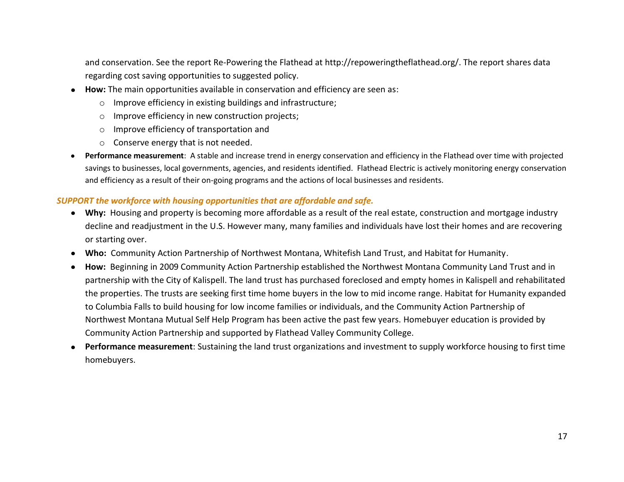and conservation. See the report Re-Powering the Flathead at http://repoweringtheflathead.org/. The report shares data regarding cost saving opportunities to suggested policy.

- **How:** The main opportunities available in conservation and efficiency are seen as:
	- o Improve efficiency in existing buildings and infrastructure;
	- o Improve efficiency in new construction projects;
	- o Improve efficiency of transportation and
	- o Conserve energy that is not needed.
- $\bullet$ **Performance measurement**: A stable and increase trend in energy conservation and efficiency in the Flathead over time with projected savings to businesses, local governments, agencies, and residents identified. Flathead Electric is actively monitoring energy conservation and efficiency as a result of their on-going programs and the actions of local businesses and residents.

#### *SUPPORT the workforce with housing opportunities that are affordable and safe.*

- **Why:** Housing and property is becoming more affordable as a result of the real estate, construction and mortgage industry decline and readjustment in the U.S. However many, many families and individuals have lost their homes and are recovering or starting over.
- **Who:** Community Action Partnership of Northwest Montana, Whitefish Land Trust, and Habitat for Humanity.  $\bullet$
- **How:** Beginning in 2009 Community Action Partnership established the Northwest Montana Community Land Trust and in  $\bullet$ partnership with the City of Kalispell. The land trust has purchased foreclosed and empty homes in Kalispell and rehabilitated the properties. The trusts are seeking first time home buyers in the low to mid income range. Habitat for Humanity expanded to Columbia Falls to build housing for low income families or individuals, and the Community Action Partnership of Northwest Montana Mutual Self Help Program has been active the past few years. Homebuyer education is provided by Community Action Partnership and supported by Flathead Valley Community College.
- $\bullet$ **Performance measurement**: Sustaining the land trust organizations and investment to supply workforce housing to first time homebuyers.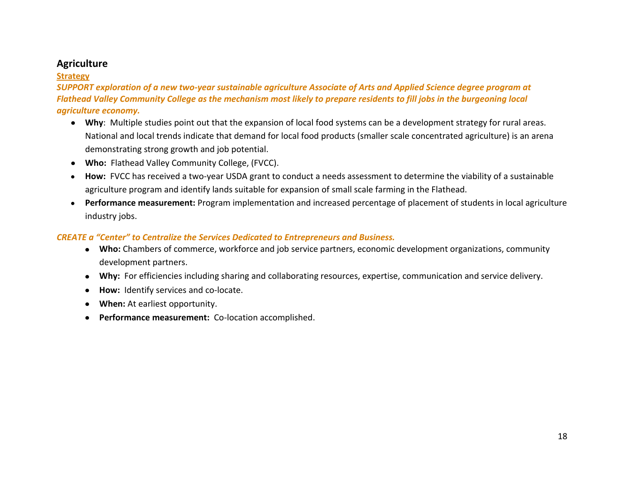# **Agriculture**

#### **Strategy**

*SUPPORT exploration of a new two-year sustainable agriculture Associate of Arts and Applied Science degree program at Flathead Valley Community College as the mechanism most likely to prepare residents to fill jobs in the burgeoning local agriculture economy.*

- **Why**: Multiple studies point out that the expansion of local food systems can be a development strategy for rural areas. National and local trends indicate that demand for local food products (smaller scale concentrated agriculture) is an arena demonstrating strong growth and job potential.
- **Who:** Flathead Valley Community College, (FVCC).
- **How:** FVCC has received a two-year USDA grant to conduct a needs assessment to determine the viability of a sustainable agriculture program and identify lands suitable for expansion of small scale farming in the Flathead.
- **Performance measurement:** Program implementation and increased percentage of placement of students in local agriculture industry jobs.

#### *CREATE a "Center" to Centralize the Services Dedicated to Entrepreneurs and Business.*

- **Who:** Chambers of commerce, workforce and job service partners, economic development organizations, community development partners.
- **Why:** For efficiencies including sharing and collaborating resources, expertise, communication and service delivery.
- **How:** Identify services and co-locate.
- **When:** At earliest opportunity.
- **Performance measurement:** Co-location accomplished.